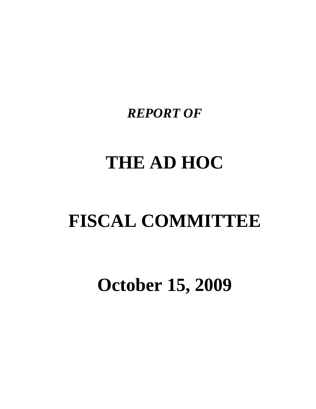*REPORT OF* 

# **THE AD HOC**

# **FISCAL COMMITTEE**

**October 15, 2009**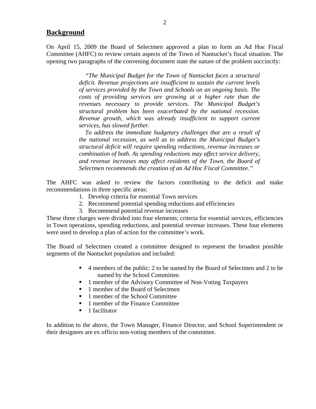#### **Background**

On April 15, 2009 the Board of Selectmen approved a plan to form an Ad Hoc Fiscal Committee (AHFC) to review certain aspects of the Town of Nantucket's fiscal situation. The opening two paragraphs of the convening document state the nature of the problem succinctly:

> *"The Municipal Budget for the Town of Nantucket faces a structural deficit. Revenue projections are insufficient to sustain the current levels of services provided by the Town and Schools on an ongoing basis. The costs of providing services are growing at a higher rate than the revenues necessary to provide services. The Municipal Budget's structural problem has been exacerbated by the national recession. Revenue growth, which was already insufficient to support current services, has slowed further.*

> *To address the immediate budgetary challenges that are a result of the national recession, as well as to address the Municipal Budget's structural deficit will require spending reductions, revenue increases or combination of both. As spending reductions may affect service delivery, and revenue increases may affect residents of the Town, the Board of Selectmen recommends the creation of an Ad Hoc Fiscal Committee."*

The AHFC was asked to review the factors contributing to the deficit and make recommendations in three specific areas:

- 1. Develop criteria for essential Town services
- 2. Recommend potential spending reductions and efficiencies
- 3. Recommend potential revenue increases

These three charges were divided into four elements; criteria for essential services, efficiencies in Town operations, spending reductions, and potential revenue increases. These four elements were used to develop a plan of action for the committee's work.

The Board of Selectmen created a committee designed to represent the broadest possible segments of the Nantucket population and included:

- 4 members of the public: 2 to be named by the Board of Selectmen and 2 to be named by the School Committee.
- 1 member of the Advisory Committee of Non-Voting Taxpayers
- 1 member of the Board of Selectmen
- 1 member of the School Committee
- 1 member of the Finance Committee
- $\blacksquare$  1 facilitator

In addition to the above, the Town Manager, Finance Director, and School Superintendent or their designees are ex officio non-voting members of the committee.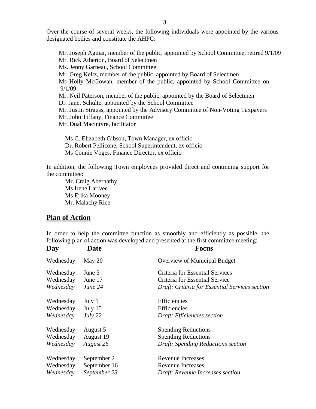Over the course of several weeks, the following individuals were appointed by the various designated bodies and constitute the AHFC:

 Mr. Joseph Aguiar, member of the public, appointed by School Committee, retired 9/1/09 Mr. Rick Atherton, Board of Selectmen Ms. Jenny Garneau, School Committee Mr. Greg Keltz, member of the public, appointed by Board of Selectmen Ms Holly McGowan, member of the public, appointed by School Committee on 9/1/09 Mr. Neil Paterson, member of the public, appointed by the Board of Selectmen Dr. Janet Schulte, appointed by the School Committee Mr. Justin Strauss, appointed by the Advisory Committee of Non-Voting Taxpayers Mr. John Tiffany, Finance Committee Mr. Dual Macintyre, facilitator

 Ms C. Elizabeth Gibson, Town Manager, ex officio Dr. Robert Pellicone, School Superintendent, ex officio Ms Connie Voges, Finance Director, ex officio

In addition, the following Town employees provided direct and continuing support for the committee:

 Mr. Craig Abernathy Ms Irene Larivee Ms Erika Mooney Mr. Malachy Rice

#### **Plan of Action**

In order to help the committee function as smoothly and efficiently as possible, the following plan of action was developed and presented at the first committee meeting:

| <b>Day</b> | Date         | Focus                                          |
|------------|--------------|------------------------------------------------|
| Wednesday  | May 20       | <b>Overview of Municipal Budget</b>            |
| Wednesday  | June 3       | Criteria for Essential Services                |
| Wednesday  | June 17      | Criteria for Essential Service                 |
| Wednesday  | June 24      | Draft: Criteria for Essential Services section |
| Wednesday  | July 1       | Efficiencies                                   |
| Wednesday  | July 15      | Efficiencies                                   |
| Wednesday  | July 22      | Draft: Efficiencies section                    |
| Wednesday  | August 5     | <b>Spending Reductions</b>                     |
| Wednesday  | August 19    | <b>Spending Reductions</b>                     |
| Wednesday  | August 26    | Draft: Spending Reductions section             |
| Wednesday  | September 2  | <b>Revenue Increases</b>                       |
| Wednesday  | September 16 | <b>Revenue Increases</b>                       |
| Wednesday  | September 23 | Draft: Revenue Increases section               |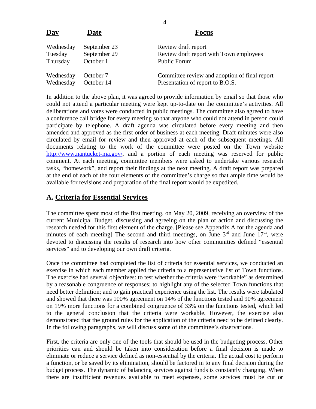| Day       | <b>Date</b>  | <b>Focus</b>                                  |
|-----------|--------------|-----------------------------------------------|
| Wednesday | September 23 | Review draft report                           |
| Tuesday   | September 29 | Review draft report with Town employees       |
| Thursday  | October 1    | <b>Public Forum</b>                           |
| Wednesday | October 7    | Committee review and adoption of final report |
| Wednesday | October 14   | Presentation of report to B.O.S.              |

In addition to the above plan, it was agreed to provide information by email so that those who could not attend a particular meeting were kept up-to-date on the committee's activities. All deliberations and votes were conducted in public meetings. The committee also agreed to have a conference call bridge for every meeting so that anyone who could not attend in person could participate by telephone. A draft agenda was circulated before every meeting and then amended and approved as the first order of business at each meeting. Draft minutes were also circulated by email for review and then approved at each of the subsequent meetings. All documents relating to the work of the committee were posted on the Town website http://www.nantucket-ma.gov/, and a portion of each meeting was reserved for public comment. At each meeting, committee members were asked to undertake various research tasks, "homework", and report their findings at the next meeting. A draft report was prepared at the end of each of the four elements of the committee's charge so that ample time would be available for revisions and preparation of the final report would be expedited.

#### **A. Criteria for Essential Services**

The committee spent most of the first meeting, on May 20, 2009, receiving an overview of the current Municipal Budget, discussing and agreeing on the plan of action and discussing the research needed for this first element of the charge. [Please see Appendix A for the agenda and minutes of each meeting] The second and third meetings, on June  $3<sup>rd</sup>$  and June  $17<sup>th</sup>$ , were devoted to discussing the results of research into how other communities defined "essential services" and to developing our own draft criteria.

Once the committee had completed the list of criteria for essential services, we conducted an exercise in which each member applied the criteria to a representative list of Town functions. The exercise had several objectives: to test whether the criteria were "workable" as determined by a reasonable congruence of responses; to highlight any of the selected Town functions that need better definition; and to gain practical experience using the list. The results were tabulated and showed that there was 100% agreement on 14% of the functions tested and 90% agreement on 19% more functions for a combined congruence of 33% on the functions tested, which led to the general conclusion that the criteria were workable. However, the exercise also demonstrated that the ground rules for the application of the criteria need to be defined clearly. In the following paragraphs, we will discuss some of the committee's observations.

First, the criteria are only one of the tools that should be used in the budgeting process. Other priorities can and should be taken into consideration before a final decision is made to eliminate or reduce a service defined as non-essential by the criteria. The actual cost to perform a function, or be saved by its elimination, should be factored in to any final decision during the budget process. The dynamic of balancing services against funds is constantly changing. When there are insufficient revenues available to meet expenses, some services must be cut or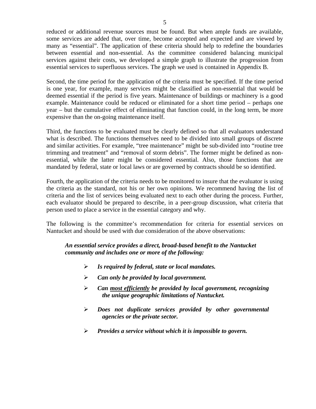reduced or additional revenue sources must be found. But when ample funds are available, some services are added that, over time, become accepted and expected and are viewed by many as "essential". The application of these criteria should help to redefine the boundaries between essential and non-essential. As the committee considered balancing municipal services against their costs, we developed a simple graph to illustrate the progression from essential services to superfluous services. The graph we used is contained in Appendix B.

Second, the time period for the application of the criteria must be specified. If the time period is one year, for example, many services might be classified as non-essential that would be deemed essential if the period is five years. Maintenance of buildings or machinery is a good example. Maintenance could be reduced or eliminated for a short time period – perhaps one year – but the cumulative effect of eliminating that function could, in the long term, be more expensive than the on-going maintenance itself.

Third, the functions to be evaluated must be clearly defined so that all evaluators understand what is described. The functions themselves need to be divided into small groups of discrete and similar activities. For example, "tree maintenance" might be sub-divided into "routine tree trimming and treatment" and "removal of storm debris". The former might be defined as nonessential, while the latter might be considered essential. Also, those functions that are mandated by federal, state or local laws or are governed by contracts should be so identified.

Fourth, the application of the criteria needs to be monitored to insure that the evaluator is using the criteria as the standard, not his or her own opinions. We recommend having the list of criteria and the list of services being evaluated next to each other during the process. Further, each evaluator should be prepared to describe, in a peer-group discussion, what criteria that person used to place a service in the essential category and why.

The following is the committee's recommendation for criteria for essential services on Nantucket and should be used with due consideration of the above observations:

#### *An essential service provides a direct, broad-based benefit to the Nantucket community and includes one or more of the following:*

- ¾ *Is required by federal, state or local mandates.*
- ¾ *Can only be provided by local government.*
- ¾ *Can most efficiently be provided by local government, recognizing the unique geographic limitations of Nantucket.*
- ¾ *Does not duplicate services provided by other governmental agencies or the private sector.*
- ¾ *Provides a service without which it is impossible to govern.*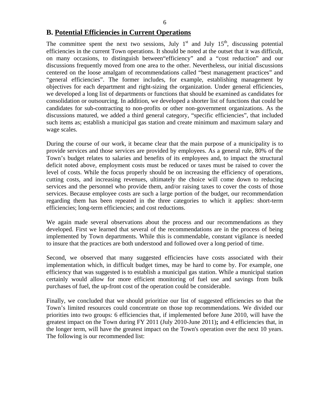#### **B. Potential Efficiencies in Current Operations**

The committee spent the next two sessions, July  $1<sup>st</sup>$  and July  $15<sup>th</sup>$ , discussing potential efficiencies in the current Town operations. It should be noted at the outset that it was difficult, on many occasions, to distinguish between"efficiency" and a "cost reduction" and our discussions frequently moved from one area to the other. Nevertheless, our initial discussions centered on the loose amalgam of recommendations called "best management practices" and "general efficiencies". The former includes, for example, establishing management by objectives for each department and right-sizing the organization. Under general efficiencies, we developed a long list of departments or functions that should be examined as candidates for consolidation or outsourcing. In addition, we developed a shorter list of functions that could be candidates for sub-contracting to non-profits or other non-government organizations. As the discussions matured, we added a third general category, "specific efficiencies", that included such items as; establish a municipal gas station and create minimum and maximum salary and wage scales.

During the course of our work, it became clear that the main purpose of a municipality is to provide services and those services are provided by employees. As a general rule, 80% of the Town's budget relates to salaries and benefits of its employees and, to impact the structural deficit noted above, employment costs must be reduced or taxes must be raised to cover the level of costs. While the focus properly should be on increasing the efficiency of operations, cutting costs, and increasing revenues, ultimately the choice will come down to reducing services and the personnel who provide them, and/or raising taxes to cover the costs of those services. Because employee costs are such a large portion of the budget, our recommendation regarding them has been repeated in the three categories to which it applies: short-term efficiencies; long-term efficiencies; and cost reductions.

We again made several observations about the process and our recommendations as they developed. First we learned that several of the recommendations are in the process of being implemented by Town departments. While this is commendable, constant vigilance is needed to insure that the practices are both understood and followed over a long period of time.

Second, we observed that many suggested efficiencies have costs associated with their implementation which, in difficult budget times, may be hard to come by. For example, one efficiency that was suggested is to establish a municipal gas station. While a municipal station certainly would allow for more efficient monitoring of fuel use and savings from bulk purchases of fuel, the up-front cost of the operation could be considerable.

Finally, we concluded that we should prioritize our list of suggested efficiencies so that the Town's limited resources could concentrate on those top recommendations. We divided our priorities into two groups: 6 efficiencies that, if implemented before June 2010, will have the greatest impact on the Town during FY 2011 (July 2010-June 2011)**;** and 4 efficiencies that, in the longer term, will have the greatest impact on the Town's operation over the next 10 years. The following is our recommended list: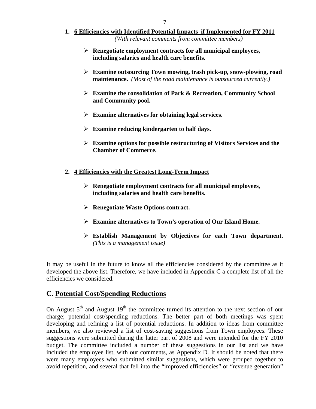- **1. 6 Efficiencies with Identified Potential Impacts if Implemented for FY 2011** *(With relevant comments from committee members)*
	- ¾ **Renegotiate employment contracts for all municipal employees, including salaries and health care benefits.**
	- ¾ **Examine outsourcing Town mowing, trash pick-up, snow-plowing, road maintenance.** *(Most of the road maintenance is outsourced currently.)*
	- ¾ **Examine the consolidation of Park & Recreation, Community School and Community pool.**
	- ¾ **Examine alternatives for obtaining legal services.**
	- ¾ **Examine reducing kindergarten to half days.**
	- ¾ **Examine options for possible restructuring of Visitors Services and the Chamber of Commerce.**
- **2. 4 Efficiencies with the Greatest Long-Term Impact**
	- ¾ **Renegotiate employment contracts for all municipal employees, including salaries and health care benefits.**
	- ¾ **Renegotiate Waste Options contract.**
	- ¾ **Examine alternatives to Town's operation of Our Island Home.**
	- ¾ **Establish Management by Objectives for each Town department.**  *(This is a management issue)*

It may be useful in the future to know all the efficiencies considered by the committee as it developed the above list. Therefore, we have included in Appendix C a complete list of all the efficiencies we considered.

# **C. Potential Cost/Spending Reductions**

On August  $5<sup>th</sup>$  and August  $19<sup>th</sup>$  the committee turned its attention to the next section of our charge; potential cost/spending reductions. The better part of both meetings was spent developing and refining a list of potential reductions. In addition to ideas from committee members, we also reviewed a list of cost-saving suggestions from Town employees. These suggestions were submitted during the latter part of 2008 and were intended for the FY 2010 budget. The committee included a number of these suggestions in our list and we have included the employee list, with our comments, as Appendix D. It should be noted that there were many employees who submitted similar suggestions, which were grouped together to avoid repetition, and several that fell into the "improved efficiencies" or "revenue generation"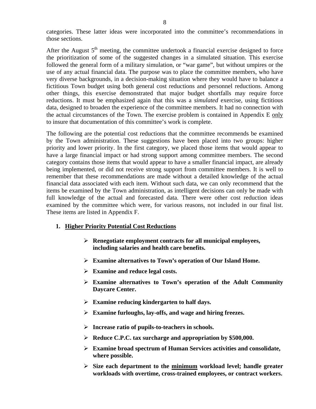categories. These latter ideas were incorporated into the committee's recommendations in those sections.

After the August  $5<sup>th</sup>$  meeting, the committee undertook a financial exercise designed to force the prioritization of some of the suggested changes in a simulated situation. This exercise followed the general form of a military simulation, or "war game", but without umpires or the use of any actual financial data. The purpose was to place the committee members, who have very diverse backgrounds, in a decision-making situation where they would have to balance a fictitious Town budget using both general cost reductions and personnel reductions. Among other things, this exercise demonstrated that major budget shortfalls may require force reductions. It must be emphasized again that this was a *simulated* exercise, using fictitious data, designed to broaden the experience of the committee members. It had no connection with the actual circumstances of the Town. The exercise problem is contained in Appendix E only to insure that documentation of this committee's work is complete.

The following are the potential cost reductions that the committee recommends be examined by the Town administration. These suggestions have been placed into two groups: higher priority and lower priority. In the first category, we placed those items that would appear to have a large financial impact or had strong support among committee members. The second category contains those items that would appear to have a smaller financial impact, are already being implemented, or did not receive strong support from committee members. It is well to remember that these recommendations are made without a detailed knowledge of the actual financial data associated with each item. Without such data, we can only recommend that the items be examined by the Town administration, as intelligent decisions can only be made with full knowledge of the actual and forecasted data. There were other cost reduction ideas examined by the committee which were, for various reasons, not included in our final list. These items are listed in Appendix F.

#### **1. Higher Priority Potential Cost Reductions**

- ¾ **Renegotiate employment contracts for all municipal employees, including salaries and health care benefits.**
- ¾ **Examine alternatives to Town's operation of Our Island Home.**
- ¾ **Examine and reduce legal costs.**
- ¾ **Examine alternatives to Town's operation of the Adult Community Daycare Center.**
- ¾ **Examine reducing kindergarten to half days.**
- ¾ **Examine furloughs, lay-offs, and wage and hiring freezes.**
- ¾ **Increase ratio of pupils-to-teachers in schools.**
- ¾ **Reduce C.P.C. tax surcharge and appropriation by \$500,000.**
- ¾ **Examine broad spectrum of Human Services activities and consolidate, where possible.**
- ¾ **Size each department to the minimum workload level; handle greater workloads with overtime, cross-trained employees, or contract workers.**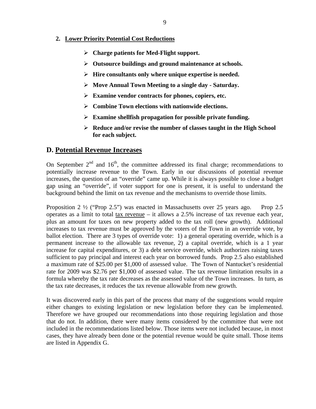#### **2. Lower Priority Potential Cost Reductions**

- ¾ **Charge patients for Med-Flight support.**
- ¾ **Outsource buildings and ground maintenance at schools.**
- ¾ **Hire consultants only where unique expertise is needed.**
- ¾ **Move Annual Town Meeting to a single day Saturday.**
- ¾ **Examine vendor contracts for phones, copiers, etc.**
- ¾ **Combine Town elections with nationwide elections.**
- ¾ **Examine shellfish propagation for possible private funding.**
- ¾ **Reduce and/or revise the number of classes taught in the High School for each subject.**

#### **D. Potential Revenue Increases**

On September  $2<sup>nd</sup>$  and  $16<sup>th</sup>$ , the committee addressed its final charge; recommendations to potentially increase revenue to the Town. Early in our discussions of potential revenue increases, the question of an "override" came up. While it is always possible to close a budget gap using an "override", if voter support for one is present, it is useful to understand the background behind the limit on tax revenue and the mechanisms to override those limits.

Proposition 2  $\frac{1}{2}$  ("Prop 2.5") was enacted in Massachusetts over 25 years ago. Prop 2.5 operates as a limit to total  $\frac{\text{tax revenue}}{\text{a}} - \text{it allows a } 2.5\%$  increase of tax revenue each year, plus an amount for taxes on new property added to the tax roll (new growth). Additional increases to tax revenue must be approved by the voters of the Town in an override vote, by ballot election. There are 3 types of override vote: 1) a general operating override, which is a permanent increase to the allowable tax revenue, 2) a capital override, which is a 1 year increase for capital expenditures, or 3) a debt service override, which authorizes raising taxes sufficient to pay principal and interest each year on borrowed funds. Prop 2.5 also established a maximum rate of \$25.00 per \$1,000 of assessed value. The Town of Nantucket's residential rate for 2009 was \$2.76 per \$1,000 of assessed value. The tax revenue limitation results in a formula whereby the tax rate decreases as the assessed value of the Town increases. In turn, as the tax rate decreases, it reduces the tax revenue allowable from new growth.

It was discovered early in this part of the process that many of the suggestions would require either changes to existing legislation or new legislation before they can be implemented. Therefore we have grouped our recommendations into those requiring legislation and those that do not. In addition, there were many items considered by the committee that were not included in the recommendations listed below. Those items were not included because, in most cases, they have already been done or the potential revenue would be quite small. Those items are listed in Appendix G.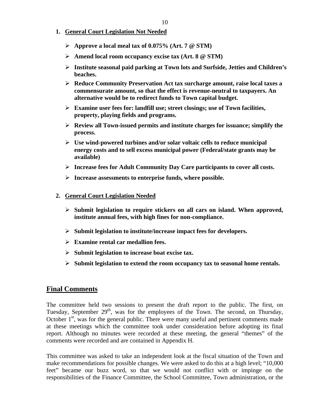#### **1. General Court Legislation Not Needed**

- ¾ **Approve a local meal tax of 0.075% (Art. 7 @ STM)**
- ¾ **Amend local room occupancy excise tax (Art. 8 @ STM)**
- ¾ **Institute seasonal paid parking at Town lots and Surfside, Jetties and Children's beaches.**
- ¾ **Reduce Community Preservation Act tax surcharge amount, raise local taxes a commensurate amount, so that the effect is revenue-neutral to taxpayers. An alternative would be to redirect funds to Town capital budget.**
- ¾ **Examine user fees for: landfill use; street closings; use of Town facilities, property, playing fields and programs.**
- ¾ **Review all Town-issued permits and institute charges for issuance; simplify the process.**
- ¾ **Use wind-powered turbines and/or solar voltaic cells to reduce municipal energy costs and to sell excess municipal power (Federal/state grants may be available)**
- ¾ **Increase fees for Adult Community Day Care participants to cover all costs.**
- ¾ **Increase assessments to enterprise funds, where possible.**
- **2. General Court Legislation Needed**
	- ¾ **Submit legislation to require stickers on all cars on island. When approved, institute annual fees, with high fines for non-compliance.**
	- ¾ **Submit legislation to institute/increase impact fees for developers.**
	- ¾ **Examine rental car medallion fees.**
	- ¾ **Submit legislation to increase boat excise tax.**
	- ¾ **Submit legislation to extend the room occupancy tax to seasonal home rentals.**

#### **Final Comments**

The committee held two sessions to present the draft report to the public. The first, on Tuesday, September  $29<sup>th</sup>$ , was for the employees of the Town. The second, on Thursday, October  $1<sup>st</sup>$ , was for the general public. There were many useful and pertinent comments made at these meetings which the committee took under consideration before adopting its final report. Although no minutes were recorded at these meeting, the general "themes" of the comments were recorded and are contained in Appendix H.

This committee was asked to take an independent look at the fiscal situation of the Town and make recommendations for possible changes. We were asked to do this at a high level; "10,000 feet" became our buzz word, so that we would not conflict with or impinge on the responsibilities of the Finance Committee, the School Committee, Town administration, or the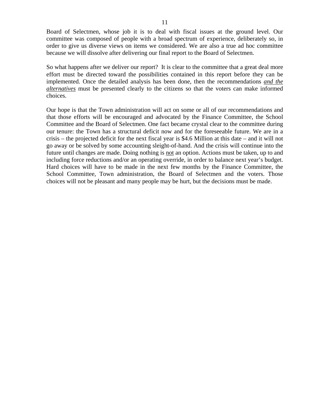Board of Selectmen, whose job it is to deal with fiscal issues at the ground level. Our committee was composed of people with a broad spectrum of experience, deliberately so, in order to give us diverse views on items we considered. We are also a true ad hoc committee because we will dissolve after delivering our final report to the Board of Selectmen.

So what happens after we deliver our report? It is clear to the committee that a great deal more effort must be directed toward the possibilities contained in this report before they can be implemented. Once the detailed analysis has been done, then the recommendations *and the alternatives* must be presented clearly to the citizens so that the voters can make informed choices.

Our hope is that the Town administration will act on some or all of our recommendations and that those efforts will be encouraged and advocated by the Finance Committee, the School Committee and the Board of Selectmen. One fact became crystal clear to the committee during our tenure: the Town has a structural deficit now and for the foreseeable future. We are in a crisis – the projected deficit for the next fiscal year is \$4.6 Million at this date – and it will not go away or be solved by some accounting sleight-of-hand. And the crisis will continue into the future until changes are made. Doing nothing is not an option. Actions must be taken, up to and including force reductions and/or an operating override, in order to balance next year's budget. Hard choices will have to be made in the next few months by the Finance Committee, the School Committee, Town administration, the Board of Selectmen and the voters. Those choices will not be pleasant and many people may be hurt, but the decisions must be made.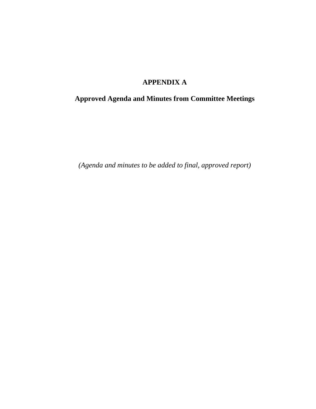# **APPENDIX A**

# **Approved Agenda and Minutes from Committee Meetings**

*(Agenda and minutes to be added to final, approved report)*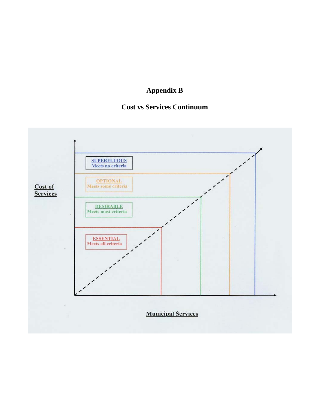# **Appendix B**

# **Cost vs Services Continuum**

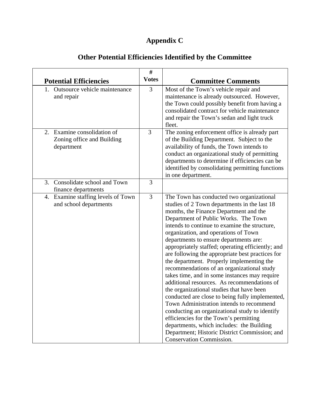# **Appendix C**

|                                                                         | $\#$           |                                                                                                                                                                                                                                                                                                                                                                                                                                                                                                                                                                                                                                                                                                                                                                                                                                                                                                                                                                                             |  |
|-------------------------------------------------------------------------|----------------|---------------------------------------------------------------------------------------------------------------------------------------------------------------------------------------------------------------------------------------------------------------------------------------------------------------------------------------------------------------------------------------------------------------------------------------------------------------------------------------------------------------------------------------------------------------------------------------------------------------------------------------------------------------------------------------------------------------------------------------------------------------------------------------------------------------------------------------------------------------------------------------------------------------------------------------------------------------------------------------------|--|
| <b>Potential Efficiencies</b>                                           | <b>Votes</b>   | <b>Committee Comments</b>                                                                                                                                                                                                                                                                                                                                                                                                                                                                                                                                                                                                                                                                                                                                                                                                                                                                                                                                                                   |  |
| 1. Outsource vehicle maintenance<br>and repair                          | $\overline{3}$ | Most of the Town's vehicle repair and<br>maintenance is already outsourced. However,<br>the Town could possibly benefit from having a<br>consolidated contract for vehicle maintenance<br>and repair the Town's sedan and light truck<br>fleet.                                                                                                                                                                                                                                                                                                                                                                                                                                                                                                                                                                                                                                                                                                                                             |  |
| 2. Examine consolidation of<br>Zoning office and Building<br>department | 3              | The zoning enforcement office is already part<br>of the Building Department. Subject to the<br>availability of funds, the Town intends to<br>conduct an organizational study of permitting<br>departments to determine if efficiencies can be<br>identified by consolidating permitting functions<br>in one department.                                                                                                                                                                                                                                                                                                                                                                                                                                                                                                                                                                                                                                                                     |  |
| 3. Consolidate school and Town<br>finance departments                   | 3              |                                                                                                                                                                                                                                                                                                                                                                                                                                                                                                                                                                                                                                                                                                                                                                                                                                                                                                                                                                                             |  |
| 4. Examine staffing levels of Town<br>and school departments            | $\overline{3}$ | The Town has conducted two organizational<br>studies of 2 Town departments in the last 18<br>months, the Finance Department and the<br>Department of Public Works. The Town<br>intends to continue to examine the structure,<br>organization, and operations of Town<br>departments to ensure departments are:<br>appropriately staffed; operating efficiently; and<br>are following the appropriate best practices for<br>the department. Properly implementing the<br>recommendations of an organizational study<br>takes time, and in some instances may require<br>additional resources. As recommendations of<br>the organizational studies that have been<br>conducted are close to being fully implemented,<br>Town Administration intends to recommend<br>conducting an organizational study to identify<br>efficiencies for the Town's permitting<br>departments, which includes: the Building<br>Department; Historic District Commission; and<br><b>Conservation Commission.</b> |  |

# **Other Potential Efficiencies Identified by the Committee**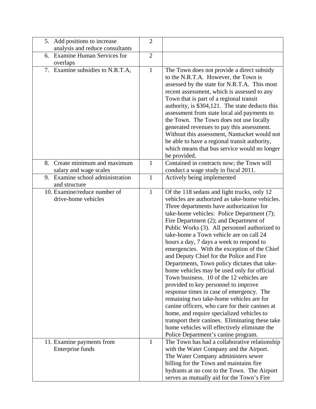| 5. Add positions to increase                        | $\overline{2}$ |                                                                                                                                                                                                                                                                                                                                                                                                                                                                                                                                                                                                                                                                                                                                                                                                                                                                                          |
|-----------------------------------------------------|----------------|------------------------------------------------------------------------------------------------------------------------------------------------------------------------------------------------------------------------------------------------------------------------------------------------------------------------------------------------------------------------------------------------------------------------------------------------------------------------------------------------------------------------------------------------------------------------------------------------------------------------------------------------------------------------------------------------------------------------------------------------------------------------------------------------------------------------------------------------------------------------------------------|
| analysis and reduce consultants                     |                |                                                                                                                                                                                                                                                                                                                                                                                                                                                                                                                                                                                                                                                                                                                                                                                                                                                                                          |
| <b>Examine Human Services for</b><br>6.<br>overlaps | $\overline{2}$ |                                                                                                                                                                                                                                                                                                                                                                                                                                                                                                                                                                                                                                                                                                                                                                                                                                                                                          |
| 7. Examine subsidies to N.R.T.A,                    | $\mathbf{1}$   | The Town does not provide a direct subsidy<br>to the N.R.T.A. However, the Town is<br>assessed by the state for N.R.T.A. This most<br>recent assessment, which is assessed to any<br>Town that is part of a regional transit<br>authority, is \$304,121. The state deducts this<br>assessment from state local aid payments to<br>the Town. The Town does not use locally<br>generated revenues to pay this assessment.<br>Without this assessment, Nantucket would not<br>be able to have a regional transit authority,<br>which means that bus service would no longer<br>be provided.                                                                                                                                                                                                                                                                                                 |
| Create minimum and maximum<br>8.                    | $\mathbf{1}$   | Contained in contracts now; the Town will                                                                                                                                                                                                                                                                                                                                                                                                                                                                                                                                                                                                                                                                                                                                                                                                                                                |
| salary and wage scales                              |                | conduct a wage study in fiscal 2011.                                                                                                                                                                                                                                                                                                                                                                                                                                                                                                                                                                                                                                                                                                                                                                                                                                                     |
| Examine school administration<br>9.                 | $\mathbf{1}$   | Actively being implemented                                                                                                                                                                                                                                                                                                                                                                                                                                                                                                                                                                                                                                                                                                                                                                                                                                                               |
| and structure<br>10. Examine/reduce number of       | $\mathbf{1}$   |                                                                                                                                                                                                                                                                                                                                                                                                                                                                                                                                                                                                                                                                                                                                                                                                                                                                                          |
| drive-home vehicles                                 |                | Of the 118 sedans and light trucks, only 12<br>vehicles are authorized as take-home vehicles.                                                                                                                                                                                                                                                                                                                                                                                                                                                                                                                                                                                                                                                                                                                                                                                            |
|                                                     |                | Three departments have authorization for<br>take-home vehicles: Police Department (7);<br>Fire Department (2); and Department of<br>Public Works (3). All personnel authorized to<br>take-home a Town vehicle are on call 24<br>hours a day, 7 days a week to respond to<br>emergencies. With the exception of the Chief<br>and Deputy Chief for the Police and Fire<br>Departments, Town policy dictates that take-<br>home vehicles may be used only for official<br>Town business. 10 of the 12 vehicles are<br>provided to key personnel to improve<br>response times in case of emergency. The<br>remaining two take-home vehicles are for<br>canine officers, who care for their canines at<br>home, and require specialized vehicles to<br>transport their canines. Eliminating these take<br>home vehicles will effectively eliminate the<br>Police Department's canine program. |
| 11. Examine payments from<br>Enterprise funds       | $\mathbf{1}$   | The Town has had a collaborative relationship<br>with the Water Company and the Airport.<br>The Water Company administers sewer<br>billing for the Town and maintains fire<br>hydrants at no cost to the Town. The Airport<br>serves as mutually aid for the Town's Fire                                                                                                                                                                                                                                                                                                                                                                                                                                                                                                                                                                                                                 |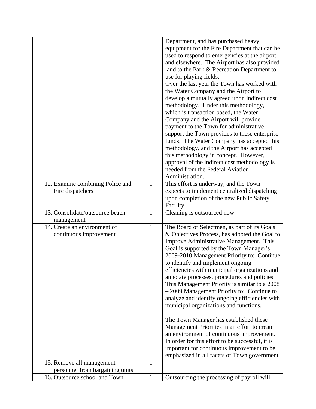|                                  |              | Department, and has purchased heavy              |
|----------------------------------|--------------|--------------------------------------------------|
|                                  |              | equipment for the Fire Department that can be    |
|                                  |              | used to respond to emergencies at the airport    |
|                                  |              | and elsewhere. The Airport has also provided     |
|                                  |              | land to the Park & Recreation Department to      |
|                                  |              |                                                  |
|                                  |              | use for playing fields.                          |
|                                  |              | Over the last year the Town has worked with      |
|                                  |              | the Water Company and the Airport to             |
|                                  |              | develop a mutually agreed upon indirect cost     |
|                                  |              | methodology. Under this methodology,             |
|                                  |              | which is transaction based, the Water            |
|                                  |              | Company and the Airport will provide             |
|                                  |              | payment to the Town for administrative           |
|                                  |              | support the Town provides to these enterprise    |
|                                  |              | funds. The Water Company has accepted this       |
|                                  |              | methodology, and the Airport has accepted        |
|                                  |              | this methodology in concept. However,            |
|                                  |              | approval of the indirect cost methodology is     |
|                                  |              | needed from the Federal Aviation                 |
|                                  |              | Administration.                                  |
| 12. Examine combining Police and | 1            | This effort is underway, and the Town            |
| Fire dispatchers                 |              | expects to implement centralized dispatching     |
|                                  |              | upon completion of the new Public Safety         |
|                                  |              | Facility.                                        |
| 13. Consolidate/outsource beach  | $\mathbf{1}$ | Cleaning is outsourced now                       |
| management                       |              |                                                  |
| 14. Create an environment of     | $\mathbf{1}$ | The Board of Selectmen, as part of its Goals     |
| continuous improvement           |              | & Objectives Process, has adopted the Goal to    |
|                                  |              | Improve Administrative Management. This          |
|                                  |              | Goal is supported by the Town Manager's          |
|                                  |              |                                                  |
|                                  |              | 2009-2010 Management Priority to: Continue       |
|                                  |              | to identify and implement ongoing                |
|                                  |              | efficiencies with municipal organizations and    |
|                                  |              | annotate processes, procedures and policies.     |
|                                  |              | This Management Priority is similar to a 2008    |
|                                  |              | $-2009$ Management Priority to: Continue to      |
|                                  |              | analyze and identify ongoing efficiencies with   |
|                                  |              | municipal organizations and functions.           |
|                                  |              |                                                  |
|                                  |              | The Town Manager has established these           |
|                                  |              | Management Priorities in an effort to create     |
|                                  |              | an environment of continuous improvement.        |
|                                  |              | In order for this effort to be successful, it is |
|                                  |              | important for continuous improvement to be       |
|                                  |              | emphasized in all facets of Town government.     |
| 15. Remove all management        | 1            |                                                  |
| personnel from bargaining units  |              |                                                  |
| 16. Outsource school and Town    |              |                                                  |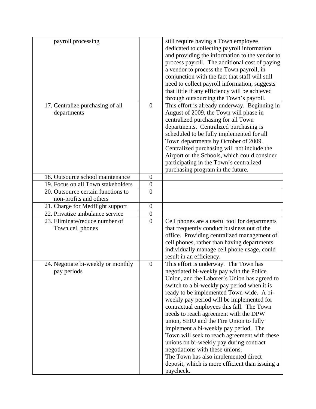| payroll processing                                           |                  | still require having a Town employee<br>dedicated to collecting payroll information<br>and providing the information to the vendor to<br>process payroll. The additional cost of paying<br>a vendor to process the Town payroll, in<br>conjunction with the fact that staff will still<br>need to collect payroll information, suggests<br>that little if any efficiency will be achieved<br>through outsourcing the Town's payroll.                                                                                                                                                                                                                                                      |
|--------------------------------------------------------------|------------------|-------------------------------------------------------------------------------------------------------------------------------------------------------------------------------------------------------------------------------------------------------------------------------------------------------------------------------------------------------------------------------------------------------------------------------------------------------------------------------------------------------------------------------------------------------------------------------------------------------------------------------------------------------------------------------------------|
| 17. Centralize purchasing of all<br>departments              | $\overline{0}$   | This effort is already underway. Beginning in<br>August of 2009, the Town will phase in<br>centralized purchasing for all Town<br>departments. Centralized purchasing is<br>scheduled to be fully implemented for all<br>Town departments by October of 2009.<br>Centralized purchasing will not include the<br>Airport or the Schools, which could consider<br>participating in the Town's centralized<br>purchasing program in the future.                                                                                                                                                                                                                                              |
| 18. Outsource school maintenance                             | $\overline{0}$   |                                                                                                                                                                                                                                                                                                                                                                                                                                                                                                                                                                                                                                                                                           |
| 19. Focus on all Town stakeholders                           | $\overline{0}$   |                                                                                                                                                                                                                                                                                                                                                                                                                                                                                                                                                                                                                                                                                           |
| 20. Outsource certain functions to<br>non-profits and others | $\overline{0}$   |                                                                                                                                                                                                                                                                                                                                                                                                                                                                                                                                                                                                                                                                                           |
| 21. Charge for Medflight support                             | $\overline{0}$   |                                                                                                                                                                                                                                                                                                                                                                                                                                                                                                                                                                                                                                                                                           |
| 22. Privatize ambulance service                              | $\boldsymbol{0}$ |                                                                                                                                                                                                                                                                                                                                                                                                                                                                                                                                                                                                                                                                                           |
| 23. Eliminate/reduce number of<br>Town cell phones           | $\overline{0}$   | Cell phones are a useful tool for departments<br>that frequently conduct business out of the<br>office. Providing centralized management of<br>cell phones, rather than having departments<br>individually manage cell phone usage, could<br>result in an efficiency.                                                                                                                                                                                                                                                                                                                                                                                                                     |
| 24. Negotiate bi-weekly or monthly<br>pay periods            | $\boldsymbol{0}$ | This effort is underway. The Town has<br>negotiated bi-weekly pay with the Police<br>Union, and the Laborer's Union has agreed to<br>switch to a bi-weekly pay period when it is<br>ready to be implemented Town-wide. A bi-<br>weekly pay period will be implemented for<br>contractual employees this fall. The Town<br>needs to reach agreement with the DPW<br>union, SEIU and the Fire Union to fully<br>implement a bi-weekly pay period. The<br>Town will seek to reach agreement with these<br>unions on bi-weekly pay during contract<br>negotiations with these unions.<br>The Town has also implemented direct<br>deposit, which is more efficient than issuing a<br>paycheck. |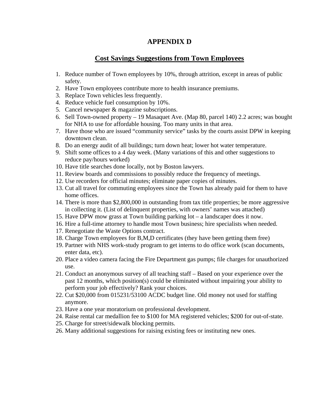#### **APPENDIX D**

## **Cost Savings Suggestions from Town Employees**

- 1. Reduce number of Town employees by 10%, through attrition, except in areas of public safety.
- 2. Have Town employees contribute more to health insurance premiums.
- 3. Replace Town vehicles less frequently.
- 4. Reduce vehicle fuel consumption by 10%.
- 5. Cancel newspaper & magazine subscriptions.
- 6. Sell Town-owned property 19 Masaquet Ave. (Map 80, parcel 140) 2.2 acres; was bought for NHA to use for affordable housing. Too many units in that area.
- 7. Have those who are issued "community service" tasks by the courts assist DPW in keeping downtown clean.
- 8. Do an energy audit of all buildings; turn down heat; lower hot water temperature.
- 9. Shift some offices to a 4 day week. (Many variations of this and other suggestions to reduce pay/hours worked)
- 10. Have title searches done locally, not by Boston lawyers.
- 11. Review boards and commissions to possibly reduce the frequency of meetings.
- 12. Use recorders for official minutes; eliminate paper copies of minutes.
- 13. Cut all travel for commuting employees since the Town has already paid for them to have home offices.
- 14. There is more than \$2,800,000 in outstanding from tax title properties; be more aggressive in collecting it. (List of delinquent properties, with owners' names was attached)
- 15. Have DPW mow grass at Town building parking lot a landscaper does it now.
- 16. Hire a full-time attorney to handle most Town business; hire specialists when needed.
- 17. Renegotiate the Waste Options contract.
- 18. Charge Town employees for B,M,D certificates (they have been getting them free)
- 19. Partner with NHS work-study program to get interns to do office work (scan documents, enter data, etc).
- 20. Place a video camera facing the Fire Department gas pumps; file charges for unauthorized use.
- 21. Conduct an anonymous survey of all teaching staff Based on your experience over the past 12 months, which position(s) could be eliminated without impairing your ability to perform your job effectively? Rank your choices.
- 22. Cut \$20,000 from 015231/53100 ACDC budget line. Old money not used for staffing anymore.
- 23. Have a one year moratorium on professional development.
- 24. Raise rental car medallion fee to \$100 for MA registered vehicles; \$200 for out-of-state.
- 25. Charge for street/sidewalk blocking permits.
- 26. Many additional suggestions for raising existing fees or instituting new ones.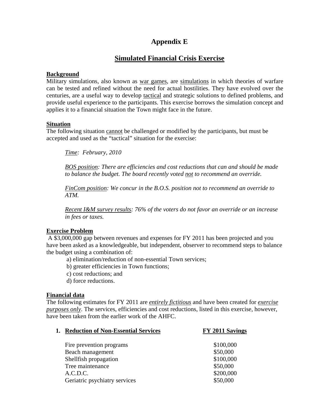# **Appendix E**

# **Simulated Financial Crisis Exercise**

#### **Background**

Military simulations, also known as [war games](http://en.wikipedia.org/wiki/Military_exercise), are [simulations](http://en.wikipedia.org/wiki/Simulation) in which theories of warfare can be tested and refined without the need for actual hostilities. They have evolved over the centuries, are a useful way to develop [tactical](http://en.wikipedia.org/wiki/Military_tactics) and strategic solutions to defined problems, and provide useful experience to the participants. This exercise borrows the simulation concept and applies it to a financial situation the Town might face in the future.

#### **Situation**

The following situation cannot be challenged or modified by the participants, but must be accepted and used as the "tactical" situation for the exercise:

*Time: February, 2010* 

*BOS position: There are efficiencies and cost reductions that can and should be made to balance the budget. The board recently voted not to recommend an override.* 

*FinCom position: We concur in the B.O.S. position not to recommend an override to ATM.* 

*Recent I&M survey results: 76% of the voters do not favor an override or an increase in fees or taxes.* 

#### **Exercise Problem**

A \$3,000,000 gap between revenues and expenses for FY 2011 has been projected and you have been asked as a knowledgeable, but independent, observer to recommend steps to balance the budget using a combination of:

- a) elimination/reduction of non-essential Town services;
- b) greater efficiencies in Town functions;
- c) cost reductions; and
- d) force reductions.

#### **Financial data**

The following estimates for FY 2011 are *entirely fictitious* and have been created for *exercise purposes only*. The services, efficiencies and cost reductions, listed in this exercise, however, have been taken from the earlier work of the AHFC.

| <b>Reduction of Non-Essential Services</b> | FY 2011 Savings |
|--------------------------------------------|-----------------|
| Fire prevention programs                   | \$100,000       |
| Beach management                           | \$50,000        |
| Shellfish propagation                      | \$100,000       |
| Tree maintenance                           | \$50,000        |
| A.C.D.C.                                   | \$200,000       |
| Geriatric psychiatry services              | \$50,000        |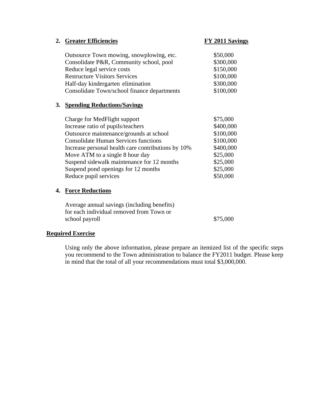|    | 2. Greater Efficiencies                                                                 | <b>FY 2011 Savings</b> |
|----|-----------------------------------------------------------------------------------------|------------------------|
|    | Outsource Town mowing, snowplowing, etc.                                                | \$50,000               |
|    | Consolidate P&R, Community school, pool                                                 | \$300,000              |
|    | Reduce legal service costs                                                              | \$150,000              |
|    | <b>Restructure Visitors Services</b>                                                    | \$100,000              |
|    | Half-day kindergarten elimination                                                       | \$300,000              |
|    | Consolidate Town/school finance departments                                             | \$100,000              |
|    | 3. Spending Reductions/Savings                                                          |                        |
|    | Charge for MedFlight support                                                            | \$75,000               |
|    | Increase ratio of pupils/teachers                                                       | \$400,000              |
|    | Outsource maintenance/grounds at school                                                 | \$100,000              |
|    | <b>Consolidate Human Services functions</b>                                             | \$100,000              |
|    | Increase personal health care contributions by 10%                                      | \$400,000              |
|    | Move ATM to a single 8 hour day                                                         | \$25,000               |
|    | Suspend sidewalk maintenance for 12 months                                              | \$25,000               |
|    | Suspend pond openings for 12 months                                                     | \$25,000               |
|    | Reduce pupil services                                                                   | \$50,000               |
| 4. | <b>Force Reductions</b>                                                                 |                        |
|    | Average annual savings (including benefits)<br>for each individual removed from Town or |                        |
|    | school payroll                                                                          | \$75,000               |

#### **Required Exercise**

Using only the above information, please prepare an itemized list of the specific steps you recommend to the Town administration to balance the FY2011 budget. Please keep in mind that the total of all your recommendations must total \$3,000,000.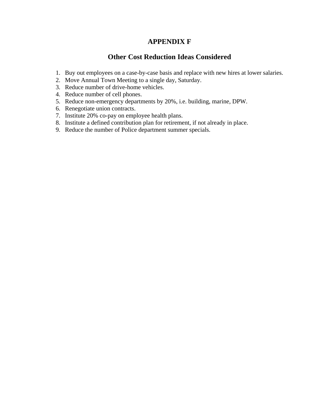## **APPENDIX F**

#### **Other Cost Reduction Ideas Considered**

- 1. Buy out employees on a case-by-case basis and replace with new hires at lower salaries.
- 2. Move Annual Town Meeting to a single day, Saturday.
- 3. Reduce number of drive-home vehicles.
- 4. Reduce number of cell phones.
- 5. Reduce non-emergency departments by 20%, i.e. building, marine, DPW.
- 6. Renegotiate union contracts.
- 7. Institute 20% co-pay on employee health plans.
- 8. Institute a defined contribution plan for retirement, if not already in place.
- 9. Reduce the number of Police department summer specials.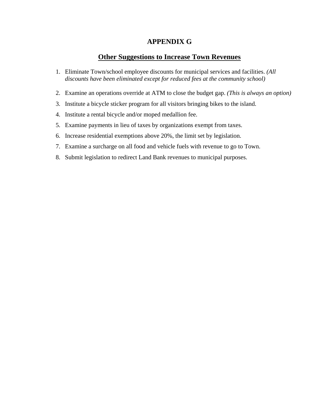## **APPENDIX G**

## **Other Suggestions to Increase Town Revenues**

- 1. Eliminate Town/school employee discounts for municipal services and facilities. *(All discounts have been eliminated except for reduced fees at the community school)*
- 2. Examine an operations override at ATM to close the budget gap. *(This is always an option)*
- 3. Institute a bicycle sticker program for all visitors bringing bikes to the island.
- 4. Institute a rental bicycle and/or moped medallion fee.
- 5. Examine payments in lieu of taxes by organizations exempt from taxes.
- 6. Increase residential exemptions above 20%, the limit set by legislation.
- 7. Examine a surcharge on all food and vehicle fuels with revenue to go to Town.
- 8. Submit legislation to redirect Land Bank revenues to municipal purposes.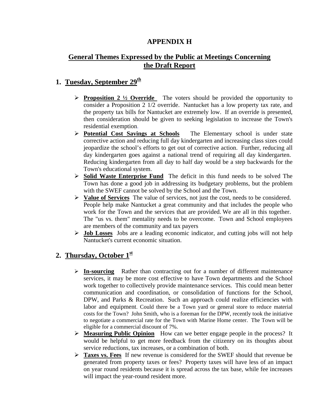## **APPENDIX H**

# **General Themes Expressed by the Public at Meetings Concerning the Draft Report**

## **1. Tuesday, September 29th**

- ¾ **Proposition 2 ½ Override** The voters should be provided the opportunity to consider a Proposition 2 1/2 override. Nantucket has a low property tax rate, and the property tax bills for Nantucket are extremely low. If an override is presented, then consideration should be given to seeking legislation to increase the Town's residential exemption.
- ¾ **Potential Cost Savings at Schools** The Elementary school is under state corrective action and reducing full day kindergarten and increasing class sizes could jeopardize the school's efforts to get out of corrective action. Further, reducing all day kindergarten goes against a national trend of requiring all day kindergarten. Reducing kindergarten from all day to half day would be a step backwards for the Town's educational system.
- ¾ **Solid Waste Enterprise Fund** The deficit in this fund needs to be solved The Town has done a good job in addressing its budgetary problems, but the problem with the SWEF cannot be solved by the School and the Town.
- ¾ **Value of Services** The value of services, not just the cost, needs to be considered. People help make Nantucket a great community and that includes the people who work for the Town and the services that are provided. We are all in this together. The "us vs. them" mentality needs to be overcome. Town and School employees are members of the community and tax payers
- ¾ **Job Losses** Jobs are a leading economic indicator, and cutting jobs will not help Nantucket's current economic situation.

# **2. Thursday, October 1st**

- ¾ **In-sourcing** Rather than contracting out for a number of different maintenance services, it may be more cost effective to have Town departments and the School work together to collectively provide maintenance services. This could mean better communication and coordination, or consolidation of functions for the School, DPW, and Parks & Recreation. Such an approach could realize efficiencies with labor and equipment. Could there be a Town yard or general store to reduce material costs for the Town? John Smith, who is a foreman for the DPW, recently took the initiative to negotiate a commercial rate for the Town with Marine Home center. The Town will be eligible for a commercial discount of 7%.
- ¾ **Measuring Public Opinion** How can we better engage people in the process? It would be helpful to get more feedback from the citizenry on its thoughts about service reductions, tax increases, or a combination of both.
- ¾ **Taxes vs. Fees** If new revenue is considered for the SWEF should that revenue be generated from property taxes or fees? Property taxes will have less of an impact on year round residents because it is spread across the tax base, while fee increases will impact the year-round resident more.